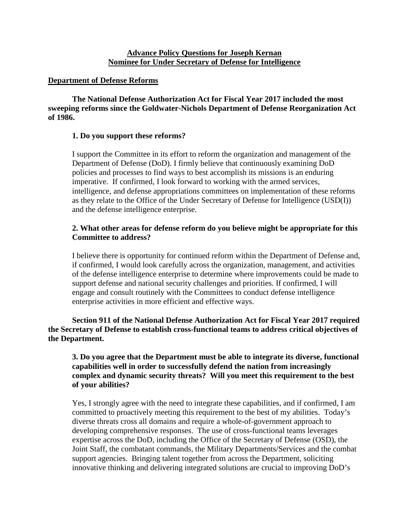## **Advance Policy Questions for Joseph Kernan Nominee for Under Secretary of Defense for Intelligence**

## **Department of Defense Reforms**

**The National Defense Authorization Act for Fiscal Year 2017 included the most sweeping reforms since the Goldwater-Nichols Department of Defense Reorganization Act of 1986.**

## **1. Do you support these reforms?**

I support the Committee in its effort to reform the organization and management of the Department of Defense (DoD). I firmly believe that continuously examining DoD policies and processes to find ways to best accomplish its missions is an enduring imperative. If confirmed, I look forward to working with the armed services, intelligence, and defense appropriations committees on implementation of these reforms as they relate to the Office of the Under Secretary of Defense for Intelligence (USD(I)) and the defense intelligence enterprise.

## **2. What other areas for defense reform do you believe might be appropriate for this Committee to address?**

I believe there is opportunity for continued reform within the Department of Defense and, if confirmed, I would look carefully across the organization, management, and activities of the defense intelligence enterprise to determine where improvements could be made to support defense and national security challenges and priorities. If confirmed, I will engage and consult routinely with the Committees to conduct defense intelligence enterprise activities in more efficient and effective ways.

**Section 911 of the National Defense Authorization Act for Fiscal Year 2017 required the Secretary of Defense to establish cross-functional teams to address critical objectives of the Department.**

## **3. Do you agree that the Department must be able to integrate its diverse, functional capabilities well in order to successfully defend the nation from increasingly complex and dynamic security threats? Will you meet this requirement to the best of your abilities?**

Yes, I strongly agree with the need to integrate these capabilities, and if confirmed, I am committed to proactively meeting this requirement to the best of my abilities. Today's diverse threats cross all domains and require a whole-of-government approach to developing comprehensive responses. The use of cross-functional teams leverages expertise across the DoD, including the Office of the Secretary of Defense (OSD), the Joint Staff, the combatant commands, the Military Departments/Services and the combat support agencies. Bringing talent together from across the Department, soliciting innovative thinking and delivering integrated solutions are crucial to improving DoD's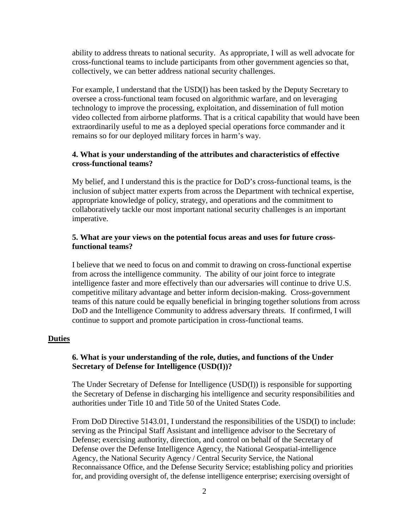ability to address threats to national security. As appropriate, I will as well advocate for cross-functional teams to include participants from other government agencies so that, collectively, we can better address national security challenges.

For example, I understand that the USD(I) has been tasked by the Deputy Secretary to oversee a cross-functional team focused on algorithmic warfare, and on leveraging technology to improve the processing, exploitation, and dissemination of full motion video collected from airborne platforms. That is a critical capability that would have been extraordinarily useful to me as a deployed special operations force commander and it remains so for our deployed military forces in harm's way.

## **4. What is your understanding of the attributes and characteristics of effective cross-functional teams?**

My belief, and I understand this is the practice for DoD's cross-functional teams, is the inclusion of subject matter experts from across the Department with technical expertise, appropriate knowledge of policy, strategy, and operations and the commitment to collaboratively tackle our most important national security challenges is an important imperative.

### **5. What are your views on the potential focus areas and uses for future crossfunctional teams?**

I believe that we need to focus on and commit to drawing on cross-functional expertise from across the intelligence community. The ability of our joint force to integrate intelligence faster and more effectively than our adversaries will continue to drive U.S. competitive military advantage and better inform decision-making. Cross-government teams of this nature could be equally beneficial in bringing together solutions from across DoD and the Intelligence Community to address adversary threats. If confirmed, I will continue to support and promote participation in cross-functional teams.

#### **Duties**

## **6. What is your understanding of the role, duties, and functions of the Under Secretary of Defense for Intelligence (USD(I))?**

The Under Secretary of Defense for Intelligence (USD(I)) is responsible for supporting the Secretary of Defense in discharging his intelligence and security responsibilities and authorities under Title 10 and Title 50 of the United States Code.

From DoD Directive 5143.01, I understand the responsibilities of the USD(I) to include: serving as the Principal Staff Assistant and intelligence advisor to the Secretary of Defense; exercising authority, direction, and control on behalf of the Secretary of Defense over the Defense Intelligence Agency, the National Geospatial-intelligence Agency, the National Security Agency / Central Security Service, the National Reconnaissance Office, and the Defense Security Service; establishing policy and priorities for, and providing oversight of, the defense intelligence enterprise; exercising oversight of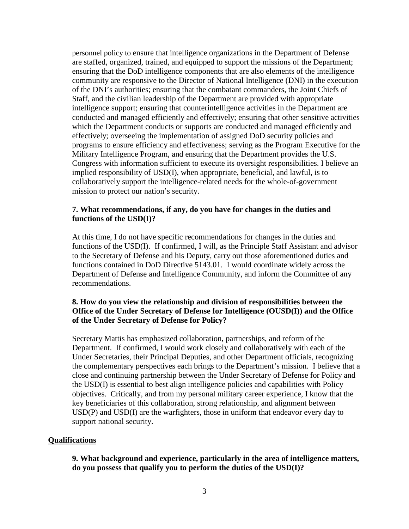personnel policy to ensure that intelligence organizations in the Department of Defense are staffed, organized, trained, and equipped to support the missions of the Department; ensuring that the DoD intelligence components that are also elements of the intelligence community are responsive to the Director of National Intelligence (DNI) in the execution of the DNI's authorities; ensuring that the combatant commanders, the Joint Chiefs of Staff, and the civilian leadership of the Department are provided with appropriate intelligence support; ensuring that counterintelligence activities in the Department are conducted and managed efficiently and effectively; ensuring that other sensitive activities which the Department conducts or supports are conducted and managed efficiently and effectively; overseeing the implementation of assigned DoD security policies and programs to ensure efficiency and effectiveness; serving as the Program Executive for the Military Intelligence Program, and ensuring that the Department provides the U.S. Congress with information sufficient to execute its oversight responsibilities. I believe an implied responsibility of USD(I), when appropriate, beneficial, and lawful, is to collaboratively support the intelligence-related needs for the whole-of-government mission to protect our nation's security.

### **7. What recommendations, if any, do you have for changes in the duties and functions of the USD(I)?**

At this time, I do not have specific recommendations for changes in the duties and functions of the USD(I). If confirmed, I will, as the Principle Staff Assistant and advisor to the Secretary of Defense and his Deputy, carry out those aforementioned duties and functions contained in DoD Directive 5143.01. I would coordinate widely across the Department of Defense and Intelligence Community, and inform the Committee of any recommendations.

## **8. How do you view the relationship and division of responsibilities between the Office of the Under Secretary of Defense for Intelligence (OUSD(I)) and the Office of the Under Secretary of Defense for Policy?**

Secretary Mattis has emphasized collaboration, partnerships, and reform of the Department. If confirmed, I would work closely and collaboratively with each of the Under Secretaries, their Principal Deputies, and other Department officials, recognizing the complementary perspectives each brings to the Department's mission. I believe that a close and continuing partnership between the Under Secretary of Defense for Policy and the USD(I) is essential to best align intelligence policies and capabilities with Policy objectives. Critically, and from my personal military career experience, I know that the key beneficiaries of this collaboration, strong relationship, and alignment between USD(P) and USD(I) are the warfighters, those in uniform that endeavor every day to support national security.

## **Qualifications**

**9. What background and experience, particularly in the area of intelligence matters, do you possess that qualify you to perform the duties of the USD(I)?**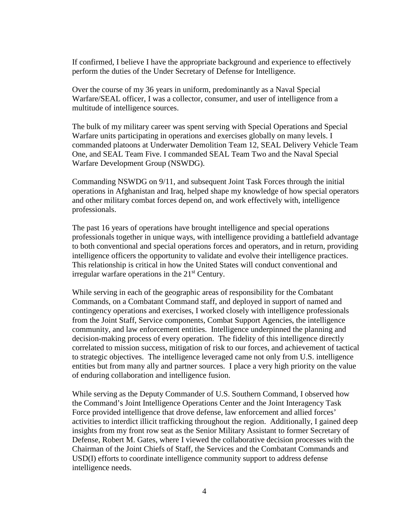If confirmed, I believe I have the appropriate background and experience to effectively perform the duties of the Under Secretary of Defense for Intelligence.

Over the course of my 36 years in uniform, predominantly as a Naval Special Warfare/SEAL officer, I was a collector, consumer, and user of intelligence from a multitude of intelligence sources.

The bulk of my military career was spent serving with Special Operations and Special Warfare units participating in operations and exercises globally on many levels. I commanded platoons at Underwater Demolition Team 12, SEAL Delivery Vehicle Team One, and SEAL Team Five. I commanded SEAL Team Two and the Naval Special Warfare Development Group (NSWDG).

Commanding NSWDG on 9/11, and subsequent Joint Task Forces through the initial operations in Afghanistan and Iraq, helped shape my knowledge of how special operators and other military combat forces depend on, and work effectively with, intelligence professionals.

The past 16 years of operations have brought intelligence and special operations professionals together in unique ways, with intelligence providing a battlefield advantage to both conventional and special operations forces and operators, and in return, providing intelligence officers the opportunity to validate and evolve their intelligence practices. This relationship is critical in how the United States will conduct conventional and irregular warfare operations in the  $21<sup>st</sup>$  Century.

While serving in each of the geographic areas of responsibility for the Combatant Commands, on a Combatant Command staff, and deployed in support of named and contingency operations and exercises, I worked closely with intelligence professionals from the Joint Staff, Service components, Combat Support Agencies, the intelligence community, and law enforcement entities. Intelligence underpinned the planning and decision-making process of every operation. The fidelity of this intelligence directly correlated to mission success, mitigation of risk to our forces, and achievement of tactical to strategic objectives. The intelligence leveraged came not only from U.S. intelligence entities but from many ally and partner sources. I place a very high priority on the value of enduring collaboration and intelligence fusion.

While serving as the Deputy Commander of U.S. Southern Command, I observed how the Command's Joint Intelligence Operations Center and the Joint Interagency Task Force provided intelligence that drove defense, law enforcement and allied forces' activities to interdict illicit trafficking throughout the region. Additionally, I gained deep insights from my front row seat as the Senior Military Assistant to former Secretary of Defense, Robert M. Gates, where I viewed the collaborative decision processes with the Chairman of the Joint Chiefs of Staff, the Services and the Combatant Commands and USD(I) efforts to coordinate intelligence community support to address defense intelligence needs.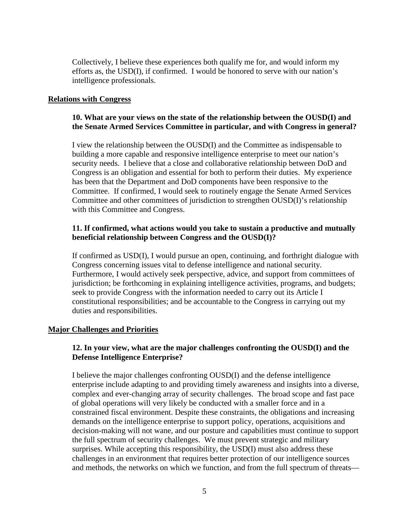Collectively, I believe these experiences both qualify me for, and would inform my efforts as, the USD(I), if confirmed. I would be honored to serve with our nation's intelligence professionals.

### **Relations with Congress**

## **10. What are your views on the state of the relationship between the OUSD(I) and the Senate Armed Services Committee in particular, and with Congress in general?**

I view the relationship between the OUSD(I) and the Committee as indispensable to building a more capable and responsive intelligence enterprise to meet our nation's security needs. I believe that a close and collaborative relationship between DoD and Congress is an obligation and essential for both to perform their duties. My experience has been that the Department and DoD components have been responsive to the Committee. If confirmed, I would seek to routinely engage the Senate Armed Services Committee and other committees of jurisdiction to strengthen OUSD(I)'s relationship with this Committee and Congress.

## **11. If confirmed, what actions would you take to sustain a productive and mutually beneficial relationship between Congress and the OUSD(I)?**

If confirmed as USD(I), I would pursue an open, continuing, and forthright dialogue with Congress concerning issues vital to defense intelligence and national security. Furthermore, I would actively seek perspective, advice, and support from committees of jurisdiction; be forthcoming in explaining intelligence activities, programs, and budgets; seek to provide Congress with the information needed to carry out its Article I constitutional responsibilities; and be accountable to the Congress in carrying out my duties and responsibilities.

## **Major Challenges and Priorities**

## **12. In your view, what are the major challenges confronting the OUSD(I) and the Defense Intelligence Enterprise?**

I believe the major challenges confronting OUSD(I) and the defense intelligence enterprise include adapting to and providing timely awareness and insights into a diverse, complex and ever-changing array of security challenges. The broad scope and fast pace of global operations will very likely be conducted with a smaller force and in a constrained fiscal environment. Despite these constraints, the obligations and increasing demands on the intelligence enterprise to support policy, operations, acquisitions and decision-making will not wane, and our posture and capabilities must continue to support the full spectrum of security challenges. We must prevent strategic and military surprises. While accepting this responsibility, the USD(I) must also address these challenges in an environment that requires better protection of our intelligence sources and methods, the networks on which we function, and from the full spectrum of threats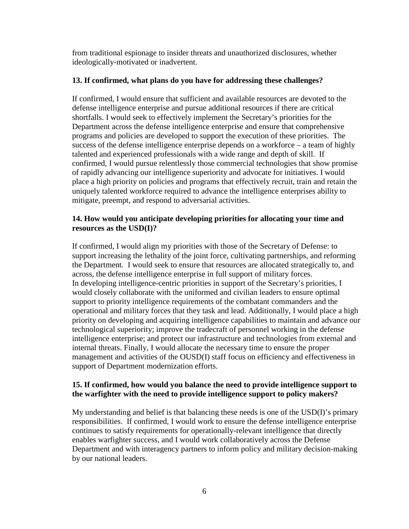from traditional espionage to insider threats and unauthorized disclosures, whether ideologically-motivated or inadvertent.

## **13. If confirmed, what plans do you have for addressing these challenges?**

If confirmed, I would ensure that sufficient and available resources are devoted to the defense intelligence enterprise and pursue additional resources if there are critical shortfalls. I would seek to effectively implement the Secretary's priorities for the Department across the defense intelligence enterprise and ensure that comprehensive programs and policies are developed to support the execution of these priorities. The success of the defense intelligence enterprise depends on a workforce – a team of highly talented and experienced professionals with a wide range and depth of skill. If confirmed, I would pursue relentlessly those commercial technologies that show promise of rapidly advancing our intelligence superiority and advocate for initiatives. I would place a high priority on policies and programs that effectively recruit, train and retain the uniquely talented workforce required to advance the intelligence enterprises ability to mitigate, preempt, and respond to adversarial activities.

## **14. How would you anticipate developing priorities for allocating your time and resources as the USD(I)?**

If confirmed, I would align my priorities with those of the Secretary of Defense: to support increasing the lethality of the joint force, cultivating partnerships, and reforming the Department. I would seek to ensure that resources are allocated strategically to, and across, the defense intelligence enterprise in full support of military forces. In developing intelligence-centric priorities in support of the Secretary's priorities, I would closely collaborate with the uniformed and civilian leaders to ensure optimal support to priority intelligence requirements of the combatant commanders and the operational and military forces that they task and lead. Additionally, I would place a high priority on developing and acquiring intelligence capabilities to maintain and advance our technological superiority; improve the tradecraft of personnel working in the defense intelligence enterprise; and protect our infrastructure and technologies from external and internal threats. Finally, I would allocate the necessary time to ensure the proper management and activities of the OUSD(I) staff focus on efficiency and effectiveness in support of Department modernization efforts.

# **15. If confirmed, how would you balance the need to provide intelligence support to the warfighter with the need to provide intelligence support to policy makers?**

My understanding and belief is that balancing these needs is one of the USD(I)'s primary responsibilities. If confirmed, I would work to ensure the defense intelligence enterprise continues to satisfy requirements for operationally-relevant intelligence that directly enables warfighter success, and I would work collaboratively across the Defense Department and with interagency partners to inform policy and military decision-making by our national leaders.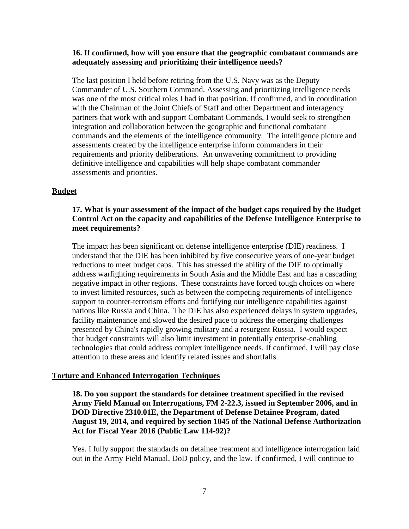### **16. If confirmed, how will you ensure that the geographic combatant commands are adequately assessing and prioritizing their intelligence needs?**

The last position I held before retiring from the U.S. Navy was as the Deputy Commander of U.S. Southern Command. Assessing and prioritizing intelligence needs was one of the most critical roles I had in that position. If confirmed, and in coordination with the Chairman of the Joint Chiefs of Staff and other Department and interagency partners that work with and support Combatant Commands, I would seek to strengthen integration and collaboration between the geographic and functional combatant commands and the elements of the intelligence community. The intelligence picture and assessments created by the intelligence enterprise inform commanders in their requirements and priority deliberations. An unwavering commitment to providing definitive intelligence and capabilities will help shape combatant commander assessments and priorities.

#### **Budget**

## **17. What is your assessment of the impact of the budget caps required by the Budget Control Act on the capacity and capabilities of the Defense Intelligence Enterprise to meet requirements?**

The impact has been significant on defense intelligence enterprise (DIE) readiness. I understand that the DIE has been inhibited by five consecutive years of one-year budget reductions to meet budget caps. This has stressed the ability of the DIE to optimally address warfighting requirements in South Asia and the Middle East and has a cascading negative impact in other regions. These constraints have forced tough choices on where to invest limited resources, such as between the competing requirements of intelligence support to counter-terrorism efforts and fortifying our intelligence capabilities against nations like Russia and China. The DIE has also experienced delays in system upgrades, facility maintenance and slowed the desired pace to address the emerging challenges presented by China's rapidly growing military and a resurgent Russia. I would expect that budget constraints will also limit investment in potentially enterprise-enabling technologies that could address complex intelligence needs. If confirmed, I will pay close attention to these areas and identify related issues and shortfalls.

#### **Torture and Enhanced Interrogation Techniques**

**18. Do you support the standards for detainee treatment specified in the revised Army Field Manual on Interrogations, FM 2-22.3, issued in September 2006, and in DOD Directive 2310.01E, the Department of Defense Detainee Program, dated August 19, 2014, and required by section 1045 of the National Defense Authorization Act for Fiscal Year 2016 (Public Law 114-92)?**

Yes. I fully support the standards on detainee treatment and intelligence interrogation laid out in the Army Field Manual, DoD policy, and the law. If confirmed, I will continue to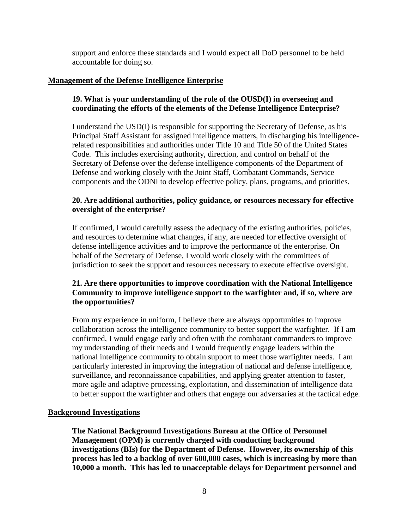support and enforce these standards and I would expect all DoD personnel to be held accountable for doing so.

## **Management of the Defense Intelligence Enterprise**

# **19. What is your understanding of the role of the OUSD(I) in overseeing and coordinating the efforts of the elements of the Defense Intelligence Enterprise?**

I understand the USD(I) is responsible for supporting the Secretary of Defense, as his Principal Staff Assistant for assigned intelligence matters, in discharging his intelligencerelated responsibilities and authorities under Title 10 and Title 50 of the United States Code. This includes exercising authority, direction, and control on behalf of the Secretary of Defense over the defense intelligence components of the Department of Defense and working closely with the Joint Staff, Combatant Commands, Service components and the ODNI to develop effective policy, plans, programs, and priorities.

# **20. Are additional authorities, policy guidance, or resources necessary for effective oversight of the enterprise?**

If confirmed, I would carefully assess the adequacy of the existing authorities, policies, and resources to determine what changes, if any, are needed for effective oversight of defense intelligence activities and to improve the performance of the enterprise. On behalf of the Secretary of Defense, I would work closely with the committees of jurisdiction to seek the support and resources necessary to execute effective oversight.

# **21. Are there opportunities to improve coordination with the National Intelligence Community to improve intelligence support to the warfighter and, if so, where are the opportunities?**

From my experience in uniform, I believe there are always opportunities to improve collaboration across the intelligence community to better support the warfighter. If I am confirmed, I would engage early and often with the combatant commanders to improve my understanding of their needs and I would frequently engage leaders within the national intelligence community to obtain support to meet those warfighter needs. I am particularly interested in improving the integration of national and defense intelligence, surveillance, and reconnaissance capabilities, and applying greater attention to faster, more agile and adaptive processing, exploitation, and dissemination of intelligence data to better support the warfighter and others that engage our adversaries at the tactical edge.

# **Background Investigations**

**The National Background Investigations Bureau at the Office of Personnel Management (OPM) is currently charged with conducting background investigations (BIs) for the Department of Defense. However, its ownership of this process has led to a backlog of over 600,000 cases, which is increasing by more than 10,000 a month. This has led to unacceptable delays for Department personnel and**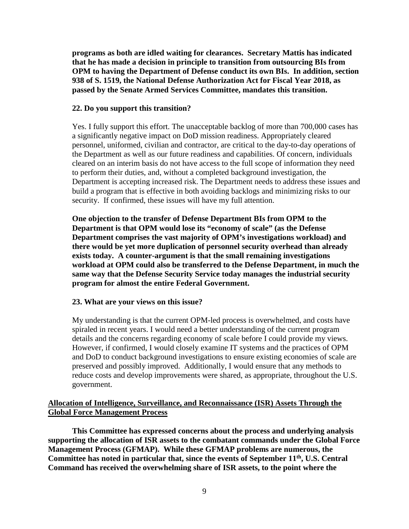**programs as both are idled waiting for clearances. Secretary Mattis has indicated that he has made a decision in principle to transition from outsourcing BIs from OPM to having the Department of Defense conduct its own BIs. In addition, section 938 of S. 1519, the National Defense Authorization Act for Fiscal Year 2018, as passed by the Senate Armed Services Committee, mandates this transition.**

#### **22. Do you support this transition?**

Yes. I fully support this effort. The unacceptable backlog of more than 700,000 cases has a significantly negative impact on DoD mission readiness. Appropriately cleared personnel, uniformed, civilian and contractor, are critical to the day-to-day operations of the Department as well as our future readiness and capabilities. Of concern, individuals cleared on an interim basis do not have access to the full scope of information they need to perform their duties, and, without a completed background investigation, the Department is accepting increased risk. The Department needs to address these issues and build a program that is effective in both avoiding backlogs and minimizing risks to our security. If confirmed, these issues will have my full attention.

**One objection to the transfer of Defense Department BIs from OPM to the Department is that OPM would lose its "economy of scale" (as the Defense Department comprises the vast majority of OPM's investigations workload) and there would be yet more duplication of personnel security overhead than already exists today. A counter-argument is that the small remaining investigations workload at OPM could also be transferred to the Defense Department, in much the same way that the Defense Security Service today manages the industrial security program for almost the entire Federal Government.**

#### **23. What are your views on this issue?**

My understanding is that the current OPM-led process is overwhelmed, and costs have spiraled in recent years. I would need a better understanding of the current program details and the concerns regarding economy of scale before I could provide my views. However, if confirmed, I would closely examine IT systems and the practices of OPM and DoD to conduct background investigations to ensure existing economies of scale are preserved and possibly improved. Additionally, I would ensure that any methods to reduce costs and develop improvements were shared, as appropriate, throughout the U.S. government.

## **Allocation of Intelligence, Surveillance, and Reconnaissance (ISR) Assets Through the Global Force Management Process**

**This Committee has expressed concerns about the process and underlying analysis supporting the allocation of ISR assets to the combatant commands under the Global Force Management Process (GFMAP). While these GFMAP problems are numerous, the**  Committee has noted in particular that, since the events of September 11<sup>th</sup>, U.S. Central **Command has received the overwhelming share of ISR assets, to the point where the**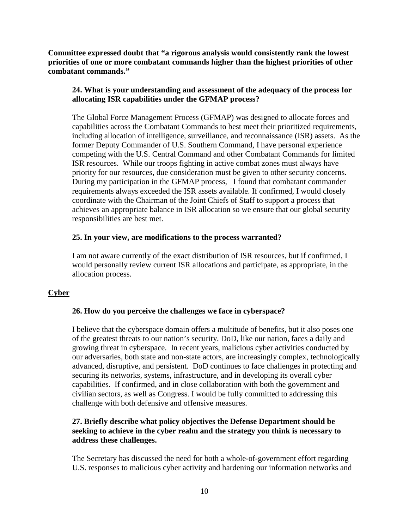**Committee expressed doubt that "a rigorous analysis would consistently rank the lowest priorities of one or more combatant commands higher than the highest priorities of other combatant commands."** 

# **24. What is your understanding and assessment of the adequacy of the process for allocating ISR capabilities under the GFMAP process?**

The Global Force Management Process (GFMAP) was designed to allocate forces and capabilities across the Combatant Commands to best meet their prioritized requirements, including allocation of intelligence, surveillance, and reconnaissance (ISR) assets. As the former Deputy Commander of U.S. Southern Command, I have personal experience competing with the U.S. Central Command and other Combatant Commands for limited ISR resources. While our troops fighting in active combat zones must always have priority for our resources, due consideration must be given to other security concerns. During my participation in the GFMAP process, I found that combatant commander requirements always exceeded the ISR assets available. If confirmed, I would closely coordinate with the Chairman of the Joint Chiefs of Staff to support a process that achieves an appropriate balance in ISR allocation so we ensure that our global security responsibilities are best met.

## **25. In your view, are modifications to the process warranted?**

I am not aware currently of the exact distribution of ISR resources, but if confirmed, I would personally review current ISR allocations and participate, as appropriate, in the allocation process.

# **Cyber**

# **26. How do you perceive the challenges we face in cyberspace?**

I believe that the cyberspace domain offers a multitude of benefits, but it also poses one of the greatest threats to our nation's security. DoD, like our nation, faces a daily and growing threat in cyberspace. In recent years, malicious cyber activities conducted by our adversaries, both state and non-state actors, are increasingly complex, technologically advanced, disruptive, and persistent. DoD continues to face challenges in protecting and securing its networks, systems, infrastructure, and in developing its overall cyber capabilities. If confirmed, and in close collaboration with both the government and civilian sectors, as well as Congress. I would be fully committed to addressing this challenge with both defensive and offensive measures.

# **27. Briefly describe what policy objectives the Defense Department should be seeking to achieve in the cyber realm and the strategy you think is necessary to address these challenges.**

The Secretary has discussed the need for both a whole-of-government effort regarding U.S. responses to malicious cyber activity and hardening our information networks and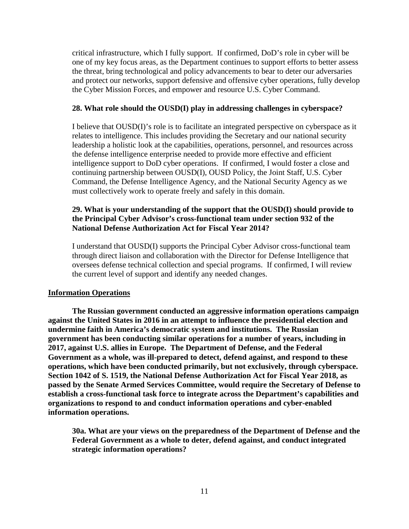critical infrastructure, which I fully support. If confirmed, DoD's role in cyber will be one of my key focus areas, as the Department continues to support efforts to better assess the threat, bring technological and policy advancements to bear to deter our adversaries and protect our networks, support defensive and offensive cyber operations, fully develop the Cyber Mission Forces, and empower and resource U.S. Cyber Command.

#### **28. What role should the OUSD(I) play in addressing challenges in cyberspace?**

I believe that OUSD(I)'s role is to facilitate an integrated perspective on cyberspace as it relates to intelligence. This includes providing the Secretary and our national security leadership a holistic look at the capabilities, operations, personnel, and resources across the defense intelligence enterprise needed to provide more effective and efficient intelligence support to DoD cyber operations. If confirmed, I would foster a close and continuing partnership between OUSD(I), OUSD Policy, the Joint Staff, U.S. Cyber Command, the Defense Intelligence Agency, and the National Security Agency as we must collectively work to operate freely and safely in this domain.

## **29. What is your understanding of the support that the OUSD(I) should provide to the Principal Cyber Advisor's cross-functional team under section 932 of the National Defense Authorization Act for Fiscal Year 2014?**

I understand that OUSD(I) supports the Principal Cyber Advisor cross-functional team through direct liaison and collaboration with the Director for Defense Intelligence that oversees defense technical collection and special programs. If confirmed, I will review the current level of support and identify any needed changes.

## **Information Operations**

**The Russian government conducted an aggressive information operations campaign against the United States in 2016 in an attempt to influence the presidential election and undermine faith in America's democratic system and institutions. The Russian government has been conducting similar operations for a number of years, including in 2017, against U.S. allies in Europe. The Department of Defense, and the Federal Government as a whole, was ill-prepared to detect, defend against, and respond to these operations, which have been conducted primarily, but not exclusively, through cyberspace. Section 1042 of S. 1519, the National Defense Authorization Act for Fiscal Year 2018, as passed by the Senate Armed Services Committee, would require the Secretary of Defense to establish a cross-functional task force to integrate across the Department's capabilities and organizations to respond to and conduct information operations and cyber-enabled information operations.**

**30a. What are your views on the preparedness of the Department of Defense and the Federal Government as a whole to deter, defend against, and conduct integrated strategic information operations?**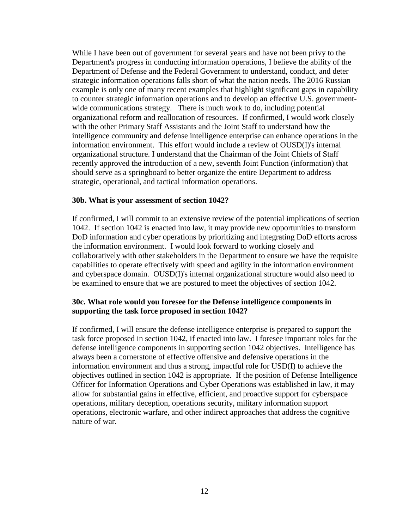While I have been out of government for several years and have not been privy to the Department's progress in conducting information operations, I believe the ability of the Department of Defense and the Federal Government to understand, conduct, and deter strategic information operations falls short of what the nation needs. The 2016 Russian example is only one of many recent examples that highlight significant gaps in capability to counter strategic information operations and to develop an effective U.S. governmentwide communications strategy. There is much work to do, including potential organizational reform and reallocation of resources. If confirmed, I would work closely with the other Primary Staff Assistants and the Joint Staff to understand how the intelligence community and defense intelligence enterprise can enhance operations in the information environment. This effort would include a review of OUSD(I)'s internal organizational structure. I understand that the Chairman of the Joint Chiefs of Staff recently approved the introduction of a new, seventh Joint Function (information) that should serve as a springboard to better organize the entire Department to address strategic, operational, and tactical information operations.

#### **30b. What is your assessment of section 1042?**

If confirmed, I will commit to an extensive review of the potential implications of section 1042. If section 1042 is enacted into law, it may provide new opportunities to transform DoD information and cyber operations by prioritizing and integrating DoD efforts across the information environment. I would look forward to working closely and collaboratively with other stakeholders in the Department to ensure we have the requisite capabilities to operate effectively with speed and agility in the information environment and cyberspace domain. OUSD(I)'s internal organizational structure would also need to be examined to ensure that we are postured to meet the objectives of section 1042.

### **30c. What role would you foresee for the Defense intelligence components in supporting the task force proposed in section 1042?**

If confirmed, I will ensure the defense intelligence enterprise is prepared to support the task force proposed in section 1042, if enacted into law. I foresee important roles for the defense intelligence components in supporting section 1042 objectives. Intelligence has always been a cornerstone of effective offensive and defensive operations in the information environment and thus a strong, impactful role for USD(I) to achieve the objectives outlined in section 1042 is appropriate. If the position of Defense Intelligence Officer for Information Operations and Cyber Operations was established in law, it may allow for substantial gains in effective, efficient, and proactive support for cyberspace operations, military deception, operations security, military information support operations, electronic warfare, and other indirect approaches that address the cognitive nature of war.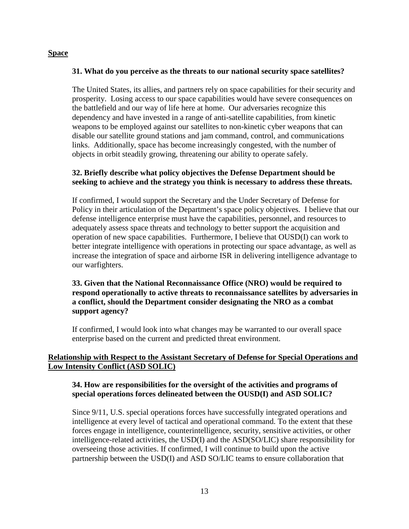## **Space**

### **31. What do you perceive as the threats to our national security space satellites?**

The United States, its allies, and partners rely on space capabilities for their security and prosperity. Losing access to our space capabilities would have severe consequences on the battlefield and our way of life here at home. Our adversaries recognize this dependency and have invested in a range of anti-satellite capabilities, from kinetic weapons to be employed against our satellites to non-kinetic cyber weapons that can disable our satellite ground stations and jam command, control, and communications links. Additionally, space has become increasingly congested, with the number of objects in orbit steadily growing, threatening our ability to operate safely.

## **32. Briefly describe what policy objectives the Defense Department should be seeking to achieve and the strategy you think is necessary to address these threats.**

If confirmed, I would support the Secretary and the Under Secretary of Defense for Policy in their articulation of the Department's space policy objectives. I believe that our defense intelligence enterprise must have the capabilities, personnel, and resources to adequately assess space threats and technology to better support the acquisition and operation of new space capabilities. Furthermore, I believe that OUSD(I) can work to better integrate intelligence with operations in protecting our space advantage, as well as increase the integration of space and airborne ISR in delivering intelligence advantage to our warfighters.

## **33. Given that the National Reconnaissance Office (NRO) would be required to respond operationally to active threats to reconnaissance satellites by adversaries in a conflict, should the Department consider designating the NRO as a combat support agency?**

If confirmed, I would look into what changes may be warranted to our overall space enterprise based on the current and predicted threat environment.

## **Relationship with Respect to the Assistant Secretary of Defense for Special Operations and Low Intensity Conflict (ASD SOLIC)**

## **34. How are responsibilities for the oversight of the activities and programs of special operations forces delineated between the OUSD(I) and ASD SOLIC?**

Since 9/11, U.S. special operations forces have successfully integrated operations and intelligence at every level of tactical and operational command. To the extent that these forces engage in intelligence, counterintelligence, security, sensitive activities, or other intelligence-related activities, the USD(I) and the ASD(SO/LIC) share responsibility for overseeing those activities. If confirmed, I will continue to build upon the active partnership between the USD(I) and ASD SO/LIC teams to ensure collaboration that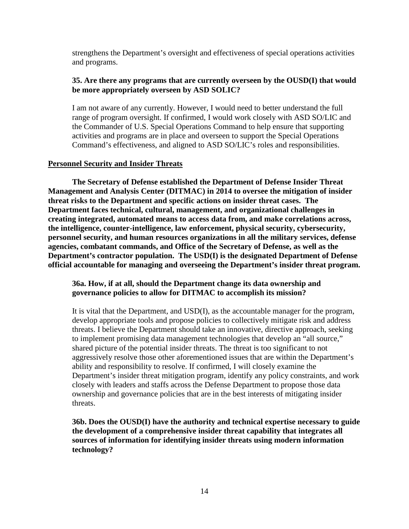strengthens the Department's oversight and effectiveness of special operations activities and programs.

### **35. Are there any programs that are currently overseen by the OUSD(I) that would be more appropriately overseen by ASD SOLIC?**

I am not aware of any currently. However, I would need to better understand the full range of program oversight. If confirmed, I would work closely with ASD SO/LIC and the Commander of U.S. Special Operations Command to help ensure that supporting activities and programs are in place and overseen to support the Special Operations Command's effectiveness, and aligned to ASD SO/LIC's roles and responsibilities.

#### **Personnel Security and Insider Threats**

**The Secretary of Defense established the Department of Defense Insider Threat Management and Analysis Center (DITMAC) in 2014 to oversee the mitigation of insider threat risks to the Department and specific actions on insider threat cases. The Department faces technical, cultural, management, and organizational challenges in creating integrated, automated means to access data from, and make correlations across, the intelligence, counter-intelligence, law enforcement, physical security, cybersecurity, personnel security, and human resources organizations in all the military services, defense agencies, combatant commands, and Office of the Secretary of Defense, as well as the Department's contractor population. The USD(I) is the designated Department of Defense official accountable for managing and overseeing the Department's insider threat program.**

## **36a. How, if at all, should the Department change its data ownership and governance policies to allow for DITMAC to accomplish its mission?**

It is vital that the Department, and USD(I), as the accountable manager for the program, develop appropriate tools and propose policies to collectively mitigate risk and address threats. I believe the Department should take an innovative, directive approach, seeking to implement promising data management technologies that develop an "all source," shared picture of the potential insider threats. The threat is too significant to not aggressively resolve those other aforementioned issues that are within the Department's ability and responsibility to resolve. If confirmed, I will closely examine the Department's insider threat mitigation program, identify any policy constraints, and work closely with leaders and staffs across the Defense Department to propose those data ownership and governance policies that are in the best interests of mitigating insider threats.

**36b. Does the OUSD(I) have the authority and technical expertise necessary to guide the development of a comprehensive insider threat capability that integrates all sources of information for identifying insider threats using modern information technology?**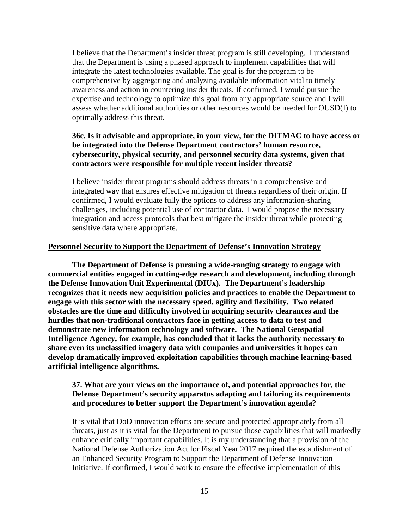I believe that the Department's insider threat program is still developing. I understand that the Department is using a phased approach to implement capabilities that will integrate the latest technologies available. The goal is for the program to be comprehensive by aggregating and analyzing available information vital to timely awareness and action in countering insider threats. If confirmed, I would pursue the expertise and technology to optimize this goal from any appropriate source and I will assess whether additional authorities or other resources would be needed for OUSD(I) to optimally address this threat.

## **36c. Is it advisable and appropriate, in your view, for the DITMAC to have access or be integrated into the Defense Department contractors' human resource, cybersecurity, physical security, and personnel security data systems, given that contractors were responsible for multiple recent insider threats?**

I believe insider threat programs should address threats in a comprehensive and integrated way that ensures effective mitigation of threats regardless of their origin. If confirmed, I would evaluate fully the options to address any information-sharing challenges, including potential use of contractor data. I would propose the necessary integration and access protocols that best mitigate the insider threat while protecting sensitive data where appropriate.

#### **Personnel Security to Support the Department of Defense's Innovation Strategy**

**The Department of Defense is pursuing a wide-ranging strategy to engage with commercial entities engaged in cutting-edge research and development, including through the Defense Innovation Unit Experimental (DIUx). The Department's leadership recognizes that it needs new acquisition policies and practices to enable the Department to engage with this sector with the necessary speed, agility and flexibility. Two related obstacles are the time and difficulty involved in acquiring security clearances and the hurdles that non-traditional contractors face in getting access to data to test and demonstrate new information technology and software. The National Geospatial Intelligence Agency, for example, has concluded that it lacks the authority necessary to share even its unclassified imagery data with companies and universities it hopes can develop dramatically improved exploitation capabilities through machine learning-based artificial intelligence algorithms.** 

## **37. What are your views on the importance of, and potential approaches for, the Defense Department's security apparatus adapting and tailoring its requirements and procedures to better support the Department's innovation agenda?**

It is vital that DoD innovation efforts are secure and protected appropriately from all threats, just as it is vital for the Department to pursue those capabilities that will markedly enhance critically important capabilities. It is my understanding that a provision of the National Defense Authorization Act for Fiscal Year 2017 required the establishment of an Enhanced Security Program to Support the Department of Defense Innovation Initiative. If confirmed, I would work to ensure the effective implementation of this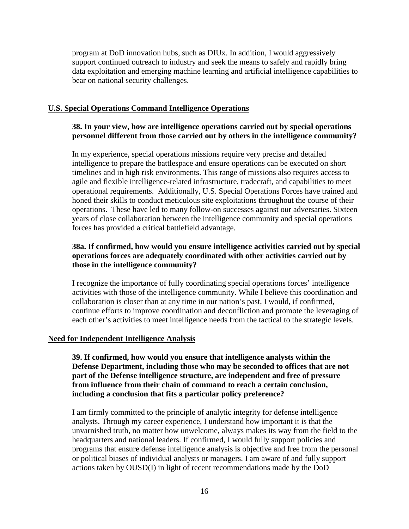program at DoD innovation hubs, such as DIUx. In addition, I would aggressively support continued outreach to industry and seek the means to safely and rapidly bring data exploitation and emerging machine learning and artificial intelligence capabilities to bear on national security challenges.

#### **U.S. Special Operations Command Intelligence Operations**

## **38. In your view, how are intelligence operations carried out by special operations personnel different from those carried out by others in the intelligence community?**

In my experience, special operations missions require very precise and detailed intelligence to prepare the battlespace and ensure operations can be executed on short timelines and in high risk environments. This range of missions also requires access to agile and flexible intelligence-related infrastructure, tradecraft, and capabilities to meet operational requirements. Additionally, U.S. Special Operations Forces have trained and honed their skills to conduct meticulous site exploitations throughout the course of their operations. These have led to many follow-on successes against our adversaries. Sixteen years of close collaboration between the intelligence community and special operations forces has provided a critical battlefield advantage.

## **38a. If confirmed, how would you ensure intelligence activities carried out by special operations forces are adequately coordinated with other activities carried out by those in the intelligence community?**

I recognize the importance of fully coordinating special operations forces' intelligence activities with those of the intelligence community. While I believe this coordination and collaboration is closer than at any time in our nation's past, I would, if confirmed, continue efforts to improve coordination and deconfliction and promote the leveraging of each other's activities to meet intelligence needs from the tactical to the strategic levels.

#### **Need for Independent Intelligence Analysis**

**39. If confirmed, how would you ensure that intelligence analysts within the Defense Department, including those who may be seconded to offices that are not part of the Defense intelligence structure, are independent and free of pressure from influence from their chain of command to reach a certain conclusion, including a conclusion that fits a particular policy preference?**

I am firmly committed to the principle of analytic integrity for defense intelligence analysts. Through my career experience, I understand how important it is that the unvarnished truth, no matter how unwelcome, always makes its way from the field to the headquarters and national leaders. If confirmed, I would fully support policies and programs that ensure defense intelligence analysis is objective and free from the personal or political biases of individual analysts or managers. I am aware of and fully support actions taken by OUSD(I) in light of recent recommendations made by the DoD